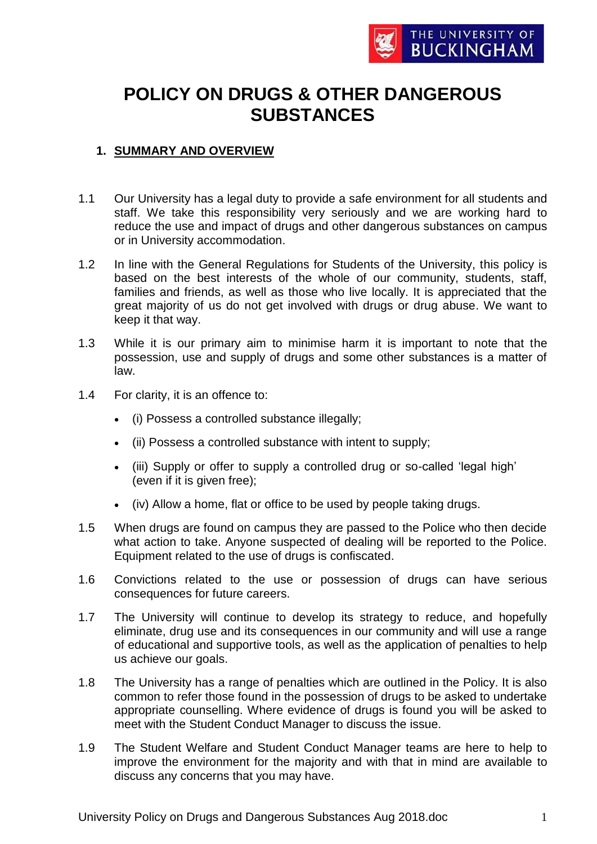

# **POLICY ON DRUGS & OTHER DANGEROUS SUBSTANCES**

## **1. SUMMARY AND OVERVIEW**

- 1.1 Our University has a legal duty to provide a safe environment for all students and staff. We take this responsibility very seriously and we are working hard to reduce the use and impact of drugs and other dangerous substances on campus or in University accommodation.
- 1.2 In line with the General Regulations for Students of the University, this policy is based on the best interests of the whole of our community, students, staff, families and friends, as well as those who live locally. It is appreciated that the great majority of us do not get involved with drugs or drug abuse. We want to keep it that way.
- 1.3 While it is our primary aim to minimise harm it is important to note that the possession, use and supply of drugs and some other substances is a matter of law.
- 1.4 For clarity, it is an offence to:
	- (i) Possess a controlled substance illegally;
	- (ii) Possess a controlled substance with intent to supply;
	- (iii) Supply or offer to supply a controlled drug or so-called 'legal high' (even if it is given free);
	- (iv) Allow a home, flat or office to be used by people taking drugs.
- 1.5 When drugs are found on campus they are passed to the Police who then decide what action to take. Anyone suspected of dealing will be reported to the Police. Equipment related to the use of drugs is confiscated.
- 1.6 Convictions related to the use or possession of drugs can have serious consequences for future careers.
- 1.7 The University will continue to develop its strategy to reduce, and hopefully eliminate, drug use and its consequences in our community and will use a range of educational and supportive tools, as well as the application of penalties to help us achieve our goals.
- 1.8 The University has a range of penalties which are outlined in the Policy. It is also common to refer those found in the possession of drugs to be asked to undertake appropriate counselling. Where evidence of drugs is found you will be asked to meet with the Student Conduct Manager to discuss the issue.
- 1.9 The Student Welfare and Student Conduct Manager teams are here to help to improve the environment for the majority and with that in mind are available to discuss any concerns that you may have.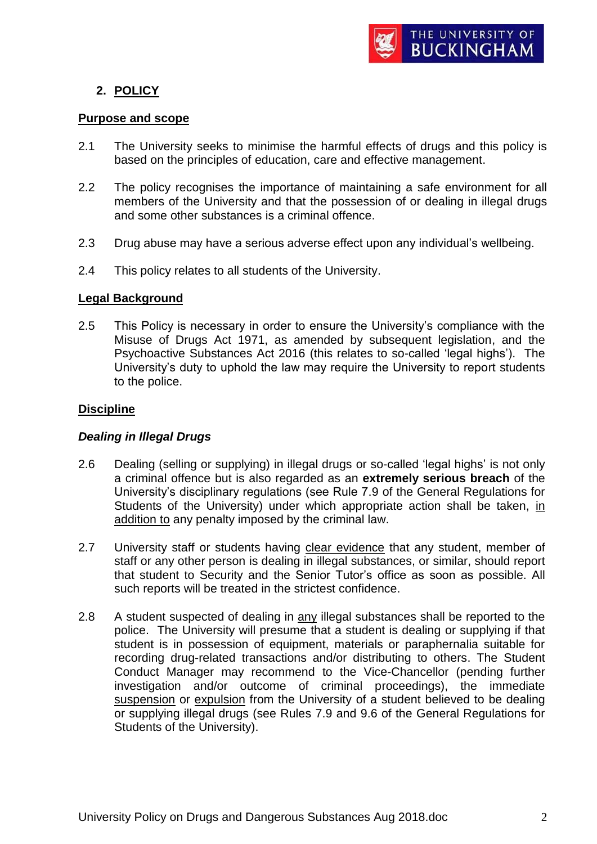

## **2. POLICY**

#### **Purpose and scope**

- 2.1 The University seeks to minimise the harmful effects of drugs and this policy is based on the principles of education, care and effective management.
- 2.2 The policy recognises the importance of maintaining a safe environment for all members of the University and that the possession of or dealing in illegal drugs and some other substances is a criminal offence.
- 2.3 Drug abuse may have a serious adverse effect upon any individual's wellbeing.
- 2.4 This policy relates to all students of the University.

#### **Legal Background**

2.5 This Policy is necessary in order to ensure the University's compliance with the Misuse of Drugs Act 1971, as amended by subsequent legislation, and the Psychoactive Substances Act 2016 (this relates to so-called 'legal highs'). The University's duty to uphold the law may require the University to report students to the police.

#### **Discipline**

## *Dealing in Illegal Drugs*

- 2.6 Dealing (selling or supplying) in illegal drugs or so-called 'legal highs' is not only a criminal offence but is also regarded as an **extremely serious breach** of the University's disciplinary regulations (see Rule 7.9 of the General Regulations for Students of the University) under which appropriate action shall be taken, in addition to any penalty imposed by the criminal law.
- 2.7 University staff or students having clear evidence that any student, member of staff or any other person is dealing in illegal substances, or similar, should report that student to Security and the Senior Tutor's office as soon as possible. All such reports will be treated in the strictest confidence.
- 2.8 A student suspected of dealing in any illegal substances shall be reported to the police.The University will presume that a student is dealing or supplying if that student is in possession of equipment, materials or paraphernalia suitable for recording drug-related transactions and/or distributing to others. The Student Conduct Manager may recommend to the Vice-Chancellor (pending further investigation and/or outcome of criminal proceedings), the immediate suspension or expulsion from the University of a student believed to be dealing or supplying illegal drugs (see Rules 7.9 and 9.6 of the General Regulations for Students of the University).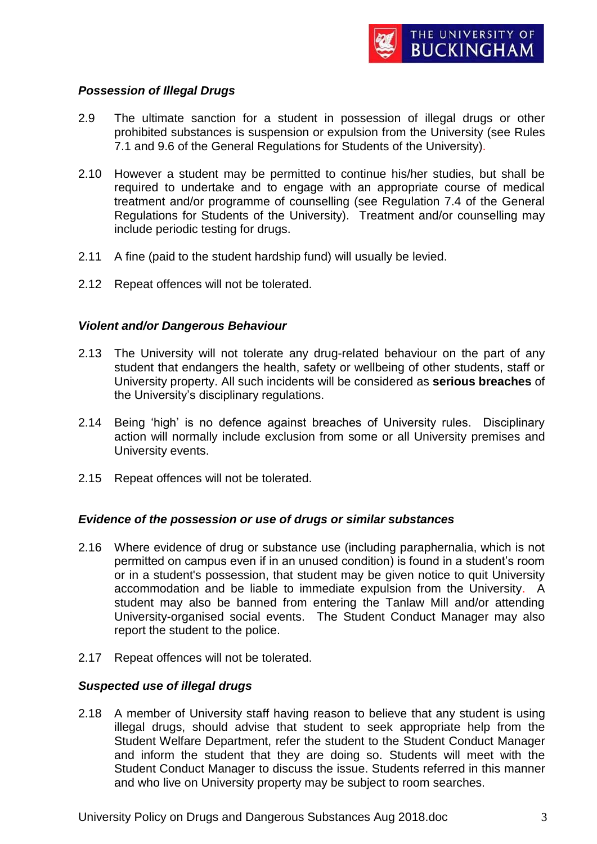

## *Possession of Illegal Drugs*

- 2.9 The ultimate sanction for a student in possession of illegal drugs or other prohibited substances is suspension or expulsion from the University (see Rules 7.1 and 9.6 of the General Regulations for Students of the University).
- 2.10 However a student may be permitted to continue his/her studies, but shall be required to undertake and to engage with an appropriate course of medical treatment and/or programme of counselling (see Regulation 7.4 of the General Regulations for Students of the University). Treatment and/or counselling may include periodic testing for drugs.
- 2.11 A fine (paid to the student hardship fund) will usually be levied.
- 2.12 Repeat offences will not be tolerated.

#### *Violent and/or Dangerous Behaviour*

- 2.13 The University will not tolerate any drug-related behaviour on the part of any student that endangers the health, safety or wellbeing of other students, staff or University property. All such incidents will be considered as **serious breaches** of the University's disciplinary regulations.
- 2.14 Being 'high' is no defence against breaches of University rules. Disciplinary action will normally include exclusion from some or all University premises and University events.
- 2.15 Repeat offences will not be tolerated.

#### *Evidence of the possession or use of drugs or similar substances*

- 2.16 Where evidence of drug or substance use (including paraphernalia, which is not permitted on campus even if in an unused condition) is found in a student's room or in a student's possession, that student may be given notice to quit University accommodation and be liable to immediate expulsion from the University. A student may also be banned from entering the Tanlaw Mill and/or attending University-organised social events. The Student Conduct Manager may also report the student to the police.
- 2.17 Repeat offences will not be tolerated.

## *Suspected use of illegal drugs*

2.18 A member of University staff having reason to believe that any student is using illegal drugs, should advise that student to seek appropriate help from the Student Welfare Department, refer the student to the Student Conduct Manager and inform the student that they are doing so. Students will meet with the Student Conduct Manager to discuss the issue. Students referred in this manner and who live on University property may be subject to room searches.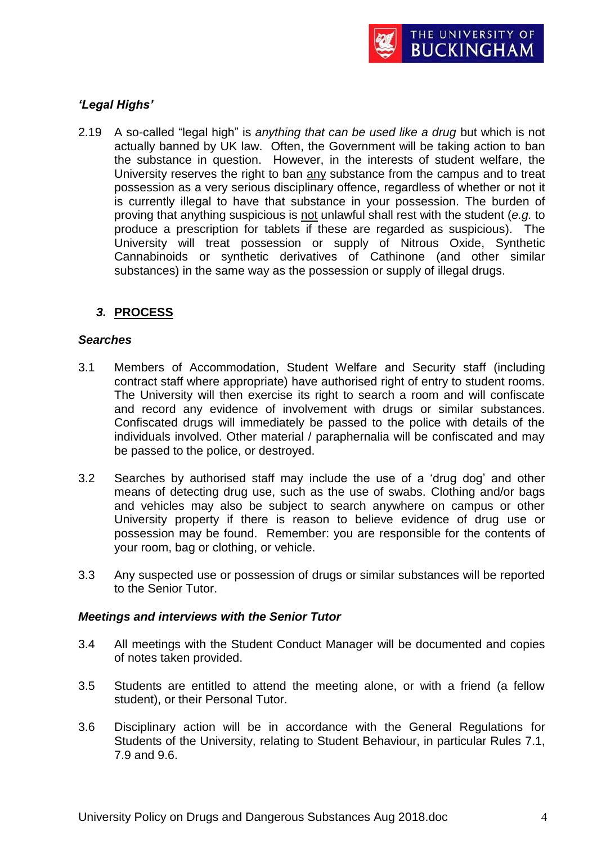

## *'Legal Highs'*

2.19 A so-called "legal high" is *anything that can be used like a drug* but which is not actually banned by UK law. Often, the Government will be taking action to ban the substance in question. However, in the interests of student welfare, the University reserves the right to ban any substance from the campus and to treat possession as a very serious disciplinary offence, regardless of whether or not it is currently illegal to have that substance in your possession. The burden of proving that anything suspicious is not unlawful shall rest with the student (*e.g.* to produce a prescription for tablets if these are regarded as suspicious). The University will treat possession or supply of Nitrous Oxide, Synthetic Cannabinoids or synthetic derivatives of Cathinone (and other similar substances) in the same way as the possession or supply of illegal drugs.

## *3.* **PROCESS**

#### *Searches*

- 3.1 Members of Accommodation, Student Welfare and Security staff (including contract staff where appropriate) have authorised right of entry to student rooms. The University will then exercise its right to search a room and will confiscate and record any evidence of involvement with drugs or similar substances. Confiscated drugs will immediately be passed to the police with details of the individuals involved. Other material / paraphernalia will be confiscated and may be passed to the police, or destroyed.
- 3.2 Searches by authorised staff may include the use of a 'drug dog' and other means of detecting drug use, such as the use of swabs. Clothing and/or bags and vehicles may also be subject to search anywhere on campus or other University property if there is reason to believe evidence of drug use or possession may be found.Remember: you are responsible for the contents of your room, bag or clothing, or vehicle.
- 3.3 Any suspected use or possession of drugs or similar substances will be reported to the Senior Tutor.

#### *Meetings and interviews with the Senior Tutor*

- 3.4 All meetings with the Student Conduct Manager will be documented and copies of notes taken provided.
- 3.5 Students are entitled to attend the meeting alone, or with a friend (a fellow student), or their Personal Tutor.
- 3.6 Disciplinary action will be in accordance with the General Regulations for Students of the University, relating to Student Behaviour, in particular Rules 7.1, 7.9 and 9.6.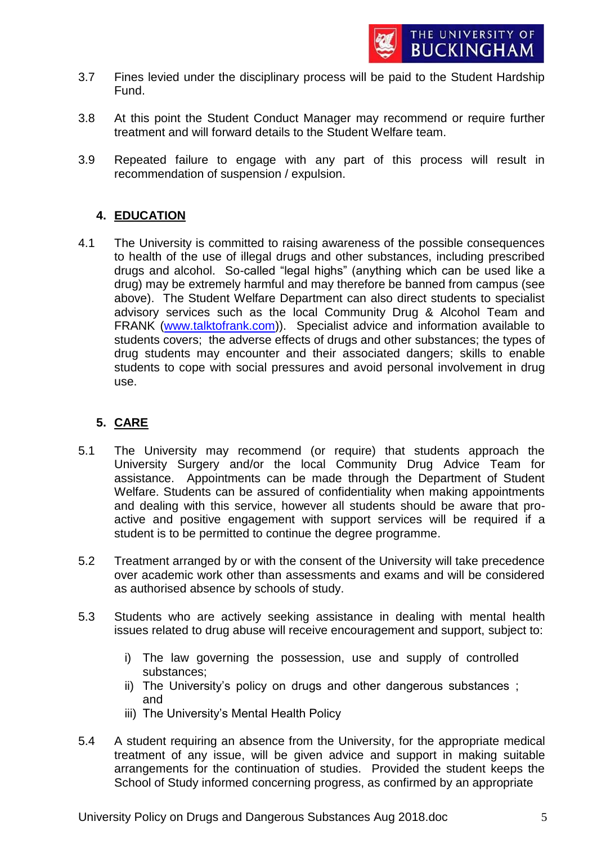- 3.7 Fines levied under the disciplinary process will be paid to the Student Hardship Fund.
- 3.8 At this point the Student Conduct Manager may recommend or require further treatment and will forward details to the Student Welfare team.
- 3.9 Repeated failure to engage with any part of this process will result in recommendation of suspension / expulsion.

# **4. EDUCATION**

4.1 The University is committed to raising awareness of the possible consequences to health of the use of illegal drugs and other substances, including prescribed drugs and alcohol. So-called "legal highs" (anything which can be used like a drug) may be extremely harmful and may therefore be banned from campus (see above). The Student Welfare Department can also direct students to specialist advisory services such as the local Community Drug & Alcohol Team and FRANK [\(www.talktofrank.com\)](http://www.talktofrank.com/)). Specialist advice and information available to students covers; the adverse effects of drugs and other substances; the types of drug students may encounter and their associated dangers; skills to enable students to cope with social pressures and avoid personal involvement in drug use.

## **5. CARE**

- 5.1 The University may recommend (or require) that students approach the University Surgery and/or the local Community Drug Advice Team for assistance. Appointments can be made through the Department of Student Welfare. Students can be assured of confidentiality when making appointments and dealing with this service, however all students should be aware that proactive and positive engagement with support services will be required if a student is to be permitted to continue the degree programme.
- 5.2 Treatment arranged by or with the consent of the University will take precedence over academic work other than assessments and exams and will be considered as authorised absence by schools of study.
- 5.3 Students who are actively seeking assistance in dealing with mental health issues related to drug abuse will receive encouragement and support, subject to:
	- i) The law governing the possession, use and supply of controlled substances;
	- ii) The University's policy on drugs and other dangerous substances ; and
	- iii) The University's Mental Health Policy
- 5.4 A student requiring an absence from the University, for the appropriate medical treatment of any issue, will be given advice and support in making suitable arrangements for the continuation of studies. Provided the student keeps the School of Study informed concerning progress, as confirmed by an appropriate